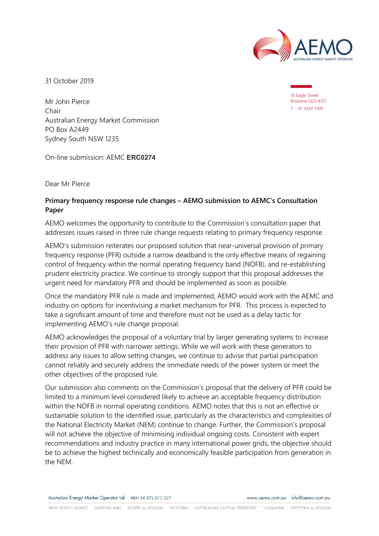

31 October 2019

10 Eagle Street Brisbane QLD 4122 T 07 3347 3100

Mr John Pierce Chair Australian Energy Market Commission PO Box A2449 Sydney South NSW 1235

On-line submission: AEMC **ERC0274**

Dear Mr Pierce

#### **Primary frequency response rule changes – AEMO submission to AEMC's Consultation Paper**

AEMO welcomes the opportunity to contribute to the Commission's consultation paper that addresses issues raised in three rule change requests relating to primary frequency response.

AEMO's submission reiterates our proposed solution that near-universal provision of primary frequency response (PFR) outside a narrow deadband is the only effective means of regaining control of frequency within the normal operating frequency band (NOFB), and re-establishing prudent electricity practice. We continue to strongly support that this proposal addresses the urgent need for mandatory PFR and should be implemented as soon as possible.

Once the mandatory PFR rule is made and implemented, AEMO would work with the AEMC and industry on options for incentivising a market mechanism for PFR. This process is expected to take a significant amount of time and therefore must not be used as a delay tactic for implementing AEMO's rule change proposal.

AEMO acknowledges the proposal of a voluntary trial by larger generating systems to increase their provision of PFR with narrower settings. While we will work with these generators to address any issues to allow setting changes, we continue to advise that partial participation cannot reliably and securely address the immediate needs of the power system or meet the other objectives of the proposed rule.

Our submission also comments on the Commission's proposal that the delivery of PFR could be limited to a minimum level considered likely to achieve an acceptable frequency distribution within the NOFB in normal operating conditions. AEMO notes that this is not an effective or sustainable solution to the identified issue, particularly as the characteristics and complexities of the National Electricity Market (NEM) continue to change. Further, the Commission's proposal will not achieve the objective of minimising individual ongoing costs. Consistent with expert recommendations and industry practice in many international power grids, the objective should be to achieve the highest technically and economically feasible participation from generation in the NEM.

Australian Energy Market Operator Ltd ABN 94 072 010 327

www.aemo.com.au info@aemo.com.au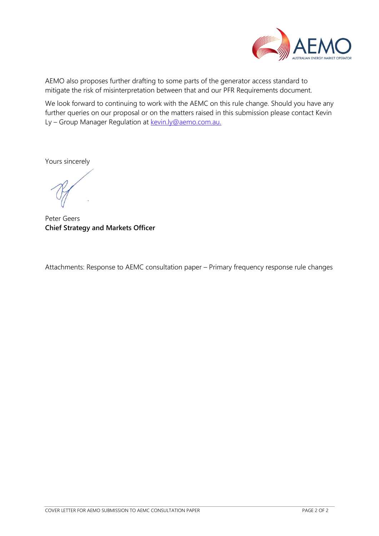

AEMO also proposes further drafting to some parts of the generator access standard to mitigate the risk of misinterpretation between that and our PFR Requirements document.

We look forward to continuing to work with the AEMC on this rule change. Should you have any further queries on our proposal or on the matters raised in this submission please contact Kevin Ly - Group Manager Regulation at [kevin.ly@aemo.com.au.](mailto:kevin.ly@aemo.com.au)

Yours sincerely

Peter Geers **Chief Strategy and Markets Officer**

Attachments: Response to AEMC consultation paper – Primary frequency response rule changes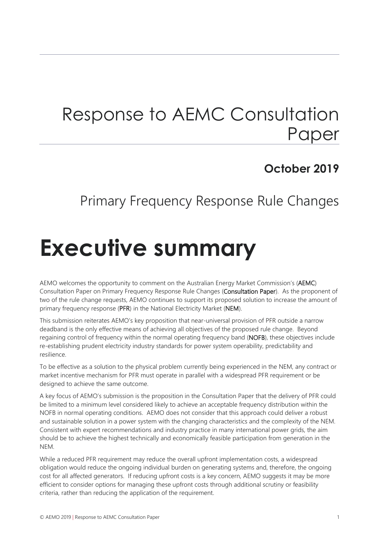# Response to AEMC Consultation Paper

## **October 2019**

## Primary Frequency Response Rule Changes

# <span id="page-2-0"></span>**Executive summary**

AEMO welcomes the opportunity to comment on the Australian Energy Market Commission's (AEMC) Consultation Paper on Primary Frequency Response Rule Changes (Consultation Paper). As the proponent of two of the rule change requests, AEMO continues to support its proposed solution to increase the amount of primary frequency response (PFR) in the National Electricity Market (NEM).

This submission reiterates AEMO's key proposition that near-universal provision of PFR outside a narrow deadband is the only effective means of achieving all objectives of the proposed rule change. Beyond regaining control of frequency within the normal operating frequency band (NOFB), these objectives include re-establishing prudent electricity industry standards for power system operability, predictability and resilience.

To be effective as a solution to the physical problem currently being experienced in the NEM, any contract or market incentive mechanism for PFR must operate in parallel with a widespread PFR requirement or be designed to achieve the same outcome.

A key focus of AEMO's submission is the proposition in the Consultation Paper that the delivery of PFR could be limited to a minimum level considered likely to achieve an acceptable frequency distribution within the NOFB in normal operating conditions. AEMO does not consider that this approach could deliver a robust and sustainable solution in a power system with the changing characteristics and the complexity of the NEM. Consistent with expert recommendations and industry practice in many international power grids, the aim should be to achieve the highest technically and economically feasible participation from generation in the NEM.

While a reduced PFR requirement may reduce the overall upfront implementation costs, a widespread obligation would reduce the ongoing individual burden on generating systems and, therefore, the ongoing cost for all affected generators. If reducing upfront costs is a key concern, AEMO suggests it may be more efficient to consider options for managing these upfront costs through additional scrutiny or feasibility criteria, rather than reducing the application of the requirement.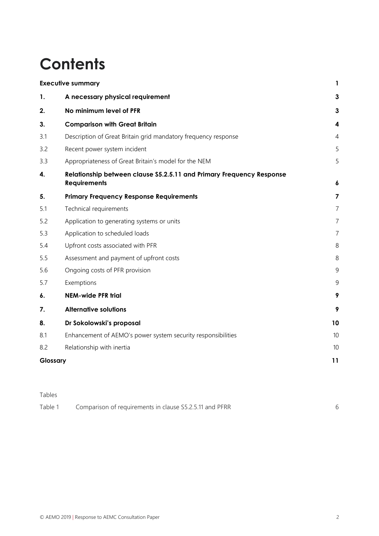# **Contents**

| <b>Executive summary</b> |                                                                                              | 1                       |
|--------------------------|----------------------------------------------------------------------------------------------|-------------------------|
| 1.                       | A necessary physical requirement                                                             | 3                       |
| 2.                       | No minimum level of PFR                                                                      | 3                       |
| 3.                       | <b>Comparison with Great Britain</b>                                                         | $\overline{\mathbf{4}}$ |
| 3.1                      | Description of Great Britain grid mandatory frequency response                               | $\overline{4}$          |
| 3.2                      | Recent power system incident                                                                 | 5                       |
| 3.3                      | Appropriateness of Great Britain's model for the NEM                                         | 5                       |
| 4.                       | Relationship between clause \$5.2.5.11 and Primary Frequency Response<br><b>Requirements</b> | $\boldsymbol{6}$        |
| 5.                       | <b>Primary Frequency Response Requirements</b>                                               | $\overline{7}$          |
| 5.1                      | Technical requirements                                                                       | $\overline{7}$          |
| 5.2                      | Application to generating systems or units                                                   | 7                       |
| 5.3                      | Application to scheduled loads                                                               | $\overline{7}$          |
| 5.4                      | Upfront costs associated with PFR                                                            | 8                       |
| 5.5                      | Assessment and payment of upfront costs                                                      | 8                       |
| 5.6                      | Ongoing costs of PFR provision                                                               | 9                       |
| 5.7                      | Exemptions                                                                                   | 9                       |
| 6.                       | <b>NEM-wide PFR trial</b>                                                                    | 9                       |
| 7.                       | <b>Alternative solutions</b>                                                                 | 9                       |
| 8.                       | Dr Sokolowski's proposal                                                                     | 10                      |
| 8.1                      | Enhancement of AEMO's power system security responsibilities                                 | 10                      |
| 8.2                      | Relationship with inertia                                                                    | 10                      |
| Glossary                 |                                                                                              | 11                      |

Tables

| Table 1 | Comparison of requirements in clause S5.2.5.11 and PFRR |  |
|---------|---------------------------------------------------------|--|
|---------|---------------------------------------------------------|--|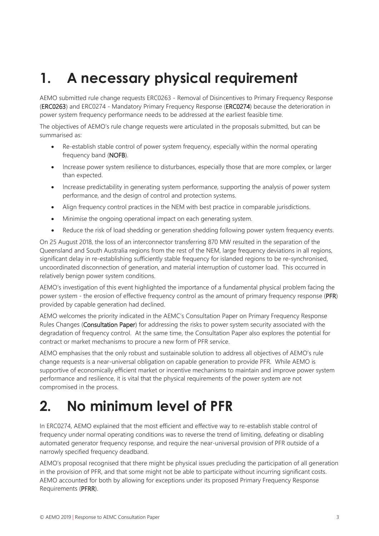# <span id="page-4-0"></span>**1. A necessary physical requirement**

AEMO submitted rule change requests ERC0263 - Removal of Disincentives to Primary Frequency Response (ERC0263) and ERC0274 - Mandatory Primary Frequency Response (ERC0274) because the deterioration in power system frequency performance needs to be addressed at the earliest feasible time.

The objectives of AEMO's rule change requests were articulated in the proposals submitted, but can be summarised as:

- Re-establish stable control of power system frequency, especially within the normal operating frequency band (NOFB).
- Increase power system resilience to disturbances, especially those that are more complex, or larger than expected.
- Increase predictability in generating system performance, supporting the analysis of power system performance, and the design of control and protection systems.
- Align frequency control practices in the NEM with best practice in comparable jurisdictions.
- Minimise the ongoing operational impact on each generating system.
- Reduce the risk of load shedding or generation shedding following power system frequency events.

On 25 August 2018, the loss of an interconnector transferring 870 MW resulted in the separation of the Queensland and South Australia regions from the rest of the NEM, large frequency deviations in all regions, significant delay in re-establishing sufficiently stable frequency for islanded regions to be re-synchronised, uncoordinated disconnection of generation, and material interruption of customer load. This occurred in relatively benign power system conditions.

AEMO's investigation of this event highlighted the importance of a fundamental physical problem facing the power system - the erosion of effective frequency control as the amount of primary frequency response (PFR) provided by capable generation had declined.

AEMO welcomes the priority indicated in the AEMC's Consultation Paper on Primary Frequency Response Rules Changes (Consultation Paper) for addressing the risks to power system security associated with the degradation of frequency control. At the same time, the Consultation Paper also explores the potential for contract or market mechanisms to procure a new form of PFR service.

AEMO emphasises that the only robust and sustainable solution to address all objectives of AEMO's rule change requests is a near-universal obligation on capable generation to provide PFR. While AEMO is supportive of economically efficient market or incentive mechanisms to maintain and improve power system performance and resilience, it is vital that the physical requirements of the power system are not compromised in the process.

## <span id="page-4-1"></span>**2. No minimum level of PFR**

In ERC0274, AEMO explained that the most efficient and effective way to re-establish stable control of frequency under normal operating conditions was to reverse the trend of limiting, defeating or disabling automated generator frequency response, and require the near-universal provision of PFR outside of a narrowly specified frequency deadband.

AEMO's proposal recognised that there might be physical issues precluding the participation of all generation in the provision of PFR, and that some might not be able to participate without incurring significant costs. AEMO accounted for both by allowing for exceptions under its proposed Primary Frequency Response Requirements (PFRR).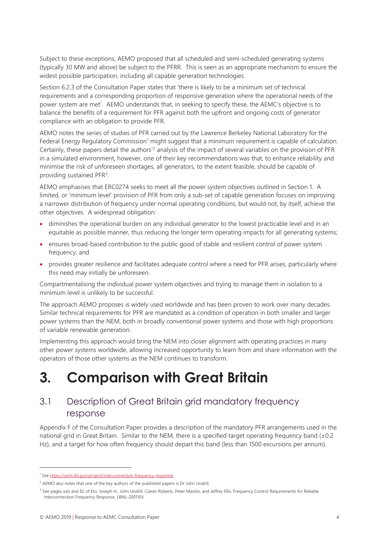Subject to these exceptions, AEMO proposed that all scheduled and semi-scheduled generating systems (typically 30 MW and above) be subject to the PFRR. This is seen as an appropriate mechanism to ensure the widest possible participation, including all capable generation technologies.

Section 6.2.3 of the Consultation Paper states that 'there is likely to be a minimum set of technical requirements and a corresponding proportion of responsive generation where the operational needs of the power system are met'. AEMO understands that, in seeking to specify these, the AEMC's objective is to balance the benefits of a requirement for PFR against both the upfront and ongoing costs of generator compliance with an obligation to provide PFR.

AEMO notes the series of studies of PFR carried out by the Lawrence Berkeley National Laboratory for the Federal Energy Regulatory Commission<sup>[1](#page-5-2)</sup> might suggest that a minimum requirement is capable of calculation. Certainly, these papers detail the authors['2](#page-5-3) analysis of the impact of several variables on the provision of PFR in a simulated environment, however, one of their key recommendations was that, to enhance reliability and minimise the risk of unforeseen shortages, all generators, to the extent feasible, should be capable of providing sustained PFR<sup>[3](#page-5-4)</sup>.

AEMO emphasises that ERC0274 seeks to meet all the power system objectives outlined in Section [1.](#page-4-0) A limited, or 'minimum level' provision of PFR from only a sub-set of capable generation focuses on improving a narrower distribution of frequency under normal operating conditions, but would not, by itself, achieve the other objectives. A widespread obligation:

- diminishes the operational burden on any individual generator to the lowest practicable level and in an equitable as possible manner, thus reducing the longer term operating impacts for all generating systems;
- ensures broad-based contribution to the public good of stable and resilient control of power system frequency; and
- provides greater resilience and facilitates adequate control where a need for PFR arises, particularly where this need may initially be unforeseen.

Compartmentalising the individual power system objectives and trying to manage them in isolation to a minimum level is unlikely to be successful.

The approach AEMO proposes is widely used worldwide and has been proven to work over many decades. Similar technical requirements for PFR are mandated as a condition of operation in both smaller and larger power systems than the NEM, both in broadly conventional power systems and those with high proportions of variable renewable generation.

Implementing this approach would bring the NEM into closer alignment with operating practices in many other power systems worldwide, allowing increased opportunity to learn from and share information with the operators of those other systems as the NEM continues to transform.

# <span id="page-5-0"></span>**3. Comparison with Great Britain**

### <span id="page-5-1"></span>3.1 Description of Great Britain grid mandatory frequency response

Appendix F of the Consultation Paper provides a description of the mandatory PFR arrangements used in the national grid in Great Britain. Similar to the NEM, there is a specified target operating frequency band  $(\pm 0.2)$ Hz), and a target for how often frequency should depart this band (less than 1500 excursions per annum).

l

<span id="page-5-2"></span><sup>1</sup> Se[e https://certs.lbl.gov/project/interconnection-frequency-response.](https://certs.lbl.gov/project/interconnection-frequency-response) 

<span id="page-5-3"></span><sup>&</sup>lt;sup>2</sup> AEMO also notes that one of the key authors of the published papers is Dr John Undrill.

<span id="page-5-4"></span><sup>&</sup>lt;sup>3</sup> See pages xxiii and 82 of Eto, Joseph H., John Undrill, Ciaran Roberts, Peter Mackin, and Jeffrey Ellis. Frequency Control Requirements for Reliable Interconnection Frequency Response. LBNL-2001103.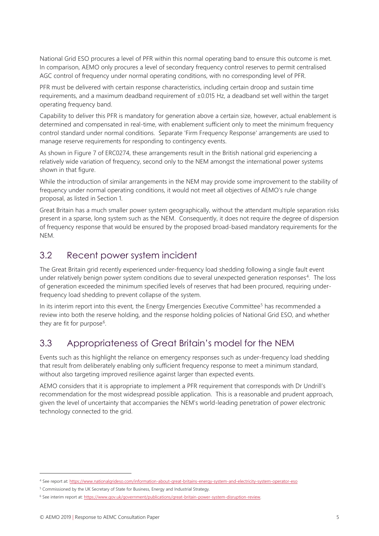National Grid ESO procures a level of PFR within this normal operating band to ensure this outcome is met. In comparison, AEMO only procures a level of secondary frequency control reserves to permit centralised AGC control of frequency under normal operating conditions, with no corresponding level of PFR.

PFR must be delivered with certain response characteristics, including certain droop and sustain time requirements, and a maximum deadband requirement of ±0.015 Hz, a deadband set well within the target operating frequency band.

Capability to deliver this PFR is mandatory for generation above a certain size, however, actual enablement is determined and compensated in real-time, with enablement sufficient only to meet the minimum frequency control standard under normal conditions. Separate 'Firm Frequency Response' arrangements are used to manage reserve requirements for responding to contingency events.

As shown in Figure 7 of ERC0274, these arrangements result in the British national grid experiencing a relatively wide variation of frequency, second only to the NEM amongst the international power systems shown in that figure.

While the introduction of similar arrangements in the NEM may provide some improvement to the stability of frequency under normal operating conditions, it would not meet all objectives of AEMO's rule change proposal, as listed in Section 1.

Great Britain has a much smaller power system geographically, without the attendant multiple separation risks present in a sparse, long system such as the NEM. Consequently, it does not require the degree of dispersion of frequency response that would be ensured by the proposed broad-based mandatory requirements for the NEM.

## <span id="page-6-0"></span>3.2 Recent power system incident

The Great Britain grid recently experienced under-frequency load shedding following a single fault event under relatively benign power system conditions due to several unexpected generation responses<sup>[4](#page-6-2)</sup>. The loss of generation exceeded the minimum specified levels of reserves that had been procured, requiring underfrequency load shedding to prevent collapse of the system.

In its interim report into this event, the Energy Emergencies Executive Committee<sup>[5](#page-6-3)</sup> has recommended a review into both the reserve holding, and the response holding policies of National Grid ESO, and whether they are fit for purpose<sup>[6](#page-6-4)</sup>.

## <span id="page-6-1"></span>3.3 Appropriateness of Great Britain's model for the NEM

Events such as this highlight the reliance on emergency responses such as under-frequency load shedding that result from deliberately enabling only sufficient frequency response to meet a minimum standard, without also targeting improved resilience against larger than expected events.

AEMO considers that it is appropriate to implement a PFR requirement that corresponds with Dr Undrill's recommendation for the most widespread possible application. This is a reasonable and prudent approach, given the level of uncertainty that accompanies the NEM's world-leading penetration of power electronic technology connected to the grid.

 $\overline{a}$ 

<span id="page-6-2"></span><sup>4</sup> See report at[: https://www.nationalgrideso.com/information-about-great-britains-energy-system-and-electricity-system-operator-eso](https://www.nationalgrideso.com/information-about-great-britains-energy-system-and-electricity-system-operator-eso)

<span id="page-6-3"></span><sup>&</sup>lt;sup>5</sup> Commissioned by the UK Secretary of State for Business, Energy and Industrial Strategy.

<span id="page-6-4"></span><sup>6</sup> See interim report at[: https://www.gov.uk/government/publications/great-britain-power-system-disruption-review.](https://www.gov.uk/government/publications/great-britain-power-system-disruption-review)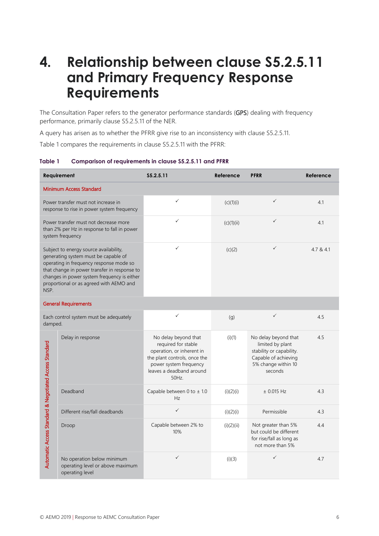## <span id="page-7-0"></span>**4. Relationship between clause S5.2.5.11 and Primary Frequency Response Requirements**

The Consultation Paper refers to the generator performance standards (GPS) dealing with frequency performance, primarily clause S5.2.5.11 of the NER.

A query has arisen as to whether the PFRR give rise to an inconsistency with clause S5.2.5.11.

[Table 1](#page-7-1) compares the requirements in clause S5.2.5.11 with the PFRR:

<span id="page-7-1"></span>

| Table 1 | Comparison of requirements in clause \$5.2.5.11 and PFRR |
|---------|----------------------------------------------------------|
|---------|----------------------------------------------------------|

| Requirement                                                                                                                                                                                                                                                                 |                                                                                   | S5.2.5.11                                                                                                                                                              | Reference  | <b>PFRR</b>                                                                                                                    | Reference |
|-----------------------------------------------------------------------------------------------------------------------------------------------------------------------------------------------------------------------------------------------------------------------------|-----------------------------------------------------------------------------------|------------------------------------------------------------------------------------------------------------------------------------------------------------------------|------------|--------------------------------------------------------------------------------------------------------------------------------|-----------|
|                                                                                                                                                                                                                                                                             | <b>Minimum Access Standard</b>                                                    |                                                                                                                                                                        |            |                                                                                                                                |           |
| Power transfer must not increase in<br>response to rise in power system frequency                                                                                                                                                                                           |                                                                                   | ✓                                                                                                                                                                      | (c)(1)(i)  | $\checkmark$                                                                                                                   | 4.1       |
| Power transfer must not decrease more<br>than 2% per Hz in response to fall in power<br>system frequency                                                                                                                                                                    |                                                                                   | $\checkmark$                                                                                                                                                           | (c)(1)(ii) | ✓                                                                                                                              | 4.1       |
| Subject to energy source availability,<br>generating system must be capable of<br>operating in frequency response mode so<br>that change in power transfer in response to<br>changes in power system frequency is either<br>proportional or as agreed with AEMO and<br>NSP. |                                                                                   | ✓                                                                                                                                                                      | (c)(2)     | $\checkmark$                                                                                                                   | 4.7 & 4.1 |
|                                                                                                                                                                                                                                                                             | <b>General Requirements</b>                                                       |                                                                                                                                                                        |            |                                                                                                                                |           |
| Each control system must be adequately<br>damped.                                                                                                                                                                                                                           |                                                                                   | ✓                                                                                                                                                                      | (g)        | $\checkmark$                                                                                                                   | 4.5       |
|                                                                                                                                                                                                                                                                             | Delay in response                                                                 | No delay beyond that<br>required for stable<br>operation, or inherent in<br>the plant controls, once the<br>power system frequency<br>leaves a deadband around<br>50Hz | (i)(1)     | No delay beyond that<br>limited by plant<br>stability or capability.<br>Capable of achieving<br>5% change within 10<br>seconds | 4.5       |
|                                                                                                                                                                                                                                                                             | Deadband                                                                          | Capable between 0 to ± 1.0<br>Hz                                                                                                                                       | (i)(2)(i)  | $\pm$ 0.015 Hz                                                                                                                 | 4.3       |
|                                                                                                                                                                                                                                                                             | Different rise/fall deadbands                                                     | $\checkmark$                                                                                                                                                           | (i)(2)(i)  | Permissible                                                                                                                    | 4.3       |
| Automatic Access Standard & Negotiated Access Standard                                                                                                                                                                                                                      | Droop                                                                             | Capable between 2% to<br>10%                                                                                                                                           | (i)(2)(ii) | Not greater than 5%<br>but could be different<br>for rise/fall as long as<br>not more than 5%                                  | 4.4       |
|                                                                                                                                                                                                                                                                             | No operation below minimum<br>operating level or above maximum<br>operating level | $\checkmark$                                                                                                                                                           | (i)(3)     | ✓                                                                                                                              | 4.7       |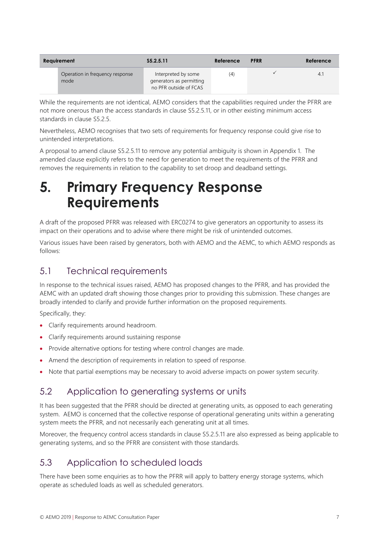| Requirement                             | \$5.2.5.11                                                                | Reference | <b>PFRR</b> | Reference |
|-----------------------------------------|---------------------------------------------------------------------------|-----------|-------------|-----------|
| Operation in frequency response<br>mode | Interpreted by some<br>generators as permitting<br>no PFR outside of FCAS | (4)       |             | 4.1       |

While the requirements are not identical, AEMO considers that the capabilities required under the PFRR are not more onerous than the access standards in clause S5.2.5.11, or in other existing minimum access standards in clause S5.2.5.

Nevertheless, AEMO recognises that two sets of requirements for frequency response could give rise to unintended interpretations.

A proposal to amend clause S5.2.5.11 to remove any potential ambiguity is shown in Appendix 1. The amended clause explicitly refers to the need for generation to meet the requirements of the PFRR and removes the requirements in relation to the capability to set droop and deadband settings.

## <span id="page-8-0"></span>**5. Primary Frequency Response Requirements**

A draft of the proposed PFRR was released with ERC0274 to give generators an opportunity to assess its impact on their operations and to advise where there might be risk of unintended outcomes.

Various issues have been raised by generators, both with AEMO and the AEMC, to which AEMO responds as follows:

### <span id="page-8-1"></span>5.1 Technical requirements

In response to the technical issues raised, AEMO has proposed changes to the PFRR, and has provided the AEMC with an updated draft showing those changes prior to providing this submission. These changes are broadly intended to clarify and provide further information on the proposed requirements.

Specifically, they:

- Clarify requirements around headroom.
- Clarify requirements around sustaining response
- Provide alternative options for testing where control changes are made.
- Amend the description of requirements in relation to speed of response.
- <span id="page-8-2"></span>• Note that partial exemptions may be necessary to avoid adverse impacts on power system security.

### 5.2 Application to generating systems or units

It has been suggested that the PFRR should be directed at generating units, as opposed to each generating system. AEMO is concerned that the collective response of operational generating units within a generating system meets the PFRR, and not necessarily each generating unit at all times.

Moreover, the frequency control access standards in clause S5.2.5.11 are also expressed as being applicable to generating systems, and so the PFRR are consistent with those standards.

## <span id="page-8-3"></span>5.3 Application to scheduled loads

There have been some enquiries as to how the PFRR will apply to battery energy storage systems, which operate as scheduled loads as well as scheduled generators.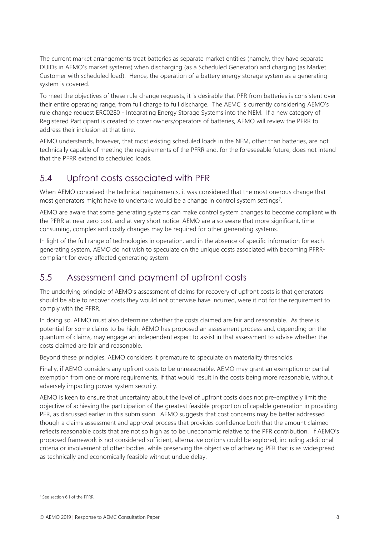The current market arrangements treat batteries as separate market entities (namely, they have separate DUIDs in AEMO's market systems) when discharging (as a Scheduled Generator) and charging (as Market Customer with scheduled load). Hence, the operation of a battery energy storage system as a generating system is covered.

To meet the objectives of these rule change requests, it is desirable that PFR from batteries is consistent over their entire operating range, from full charge to full discharge. The AEMC is currently considering AEMO's rule change request ERC0280 - Integrating Energy Storage Systems into the NEM. If a new category of Registered Participant is created to cover owners/operators of batteries, AEMO will review the PFRR to address their inclusion at that time.

AEMO understands, however, that most existing scheduled loads in the NEM, other than batteries, are not technically capable of meeting the requirements of the PFRR and, for the foreseeable future, does not intend that the PFRR extend to scheduled loads.

### <span id="page-9-0"></span>5.4 Upfront costs associated with PFR

When AEMO conceived the technical requirements, it was considered that the most onerous change that most generators might have to undertake would be a change in control system settings<sup>[7](#page-9-2)</sup>.

AEMO are aware that some generating systems can make control system changes to become compliant with the PFRR at near zero cost, and at very short notice. AEMO are also aware that more significant, time consuming, complex and costly changes may be required for other generating systems.

In light of the full range of technologies in operation, and in the absence of specific information for each generating system, AEMO do not wish to speculate on the unique costs associated with becoming PFRRcompliant for every affected generating system.

### <span id="page-9-1"></span>5.5 Assessment and payment of upfront costs

The underlying principle of AEMO's assessment of claims for recovery of upfront costs is that generators should be able to recover costs they would not otherwise have incurred, were it not for the requirement to comply with the PFRR.

In doing so, AEMO must also determine whether the costs claimed are fair and reasonable. As there is potential for some claims to be high, AEMO has proposed an assessment process and, depending on the quantum of claims, may engage an independent expert to assist in that assessment to advise whether the costs claimed are fair and reasonable.

Beyond these principles, AEMO considers it premature to speculate on materiality thresholds.

Finally, if AEMO considers any upfront costs to be unreasonable, AEMO may grant an exemption or partial exemption from one or more requirements, if that would result in the costs being more reasonable, without adversely impacting power system security.

AEMO is keen to ensure that uncertainty about the level of upfront costs does not pre-emptively limit the objective of achieving the participation of the greatest feasible proportion of capable generation in providing PFR, as discussed earlier in this submission. AEMO suggests that cost concerns may be better addressed though a claims assessment and approval process that provides confidence both that the amount claimed reflects reasonable costs that are not so high as to be uneconomic relative to the PFR contribution. If AEMO's proposed framework is not considered sufficient, alternative options could be explored, including additional criteria or involvement of other bodies, while preserving the objective of achieving PFR that is as widespread as technically and economically feasible without undue delay.

 $\overline{a}$ 

<span id="page-9-2"></span><sup>7</sup> See section 6.1 of the PFRR.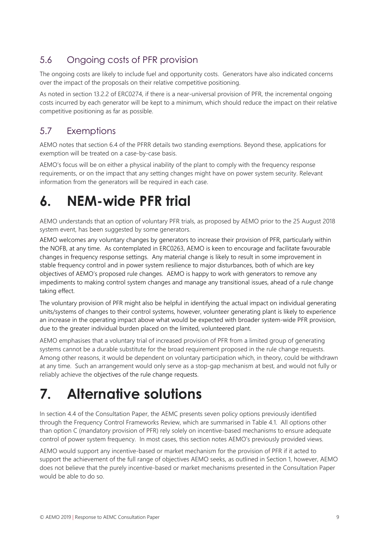## <span id="page-10-0"></span>5.6 Ongoing costs of PFR provision

The ongoing costs are likely to include fuel and opportunity costs. Generators have also indicated concerns over the impact of the proposals on their relative competitive positioning.

As noted in section 13.2.2 of ERC0274, if there is a near-universal provision of PFR, the incremental ongoing costs incurred by each generator will be kept to a minimum, which should reduce the impact on their relative competitive positioning as far as possible.

## <span id="page-10-1"></span>5.7 Exemptions

AEMO notes that section 6.4 of the PFRR details two standing exemptions. Beyond these, applications for exemption will be treated on a case-by-case basis.

AEMO's focus will be on either a physical inability of the plant to comply with the frequency response requirements, or on the impact that any setting changes might have on power system security. Relevant information from the generators will be required in each case.

# <span id="page-10-2"></span>**6. NEM-wide PFR trial**

AEMO understands that an option of voluntary PFR trials, as proposed by AEMO prior to the 25 August 2018 system event, has been suggested by some generators.

AEMO welcomes any voluntary changes by generators to increase their provision of PFR, particularly within the NOFB, at any time. As contemplated in ERC0263, AEMO is keen to encourage and facilitate favourable changes in frequency response settings. Any material change is likely to result in some improvement in stable frequency control and in power system resilience to major disturbances, both of which are key objectives of AEMO's proposed rule changes. AEMO is happy to work with generators to remove any impediments to making control system changes and manage any transitional issues, ahead of a rule change taking effect.

The voluntary provision of PFR might also be helpful in identifying the actual impact on individual generating units/systems of changes to their control systems, however, volunteer generating plant is likely to experience an increase in the operating impact above what would be expected with broader system-wide PFR provision, due to the greater individual burden placed on the limited, volunteered plant.

AEMO emphasises that a voluntary trial of increased provision of PFR from a limited group of generating systems cannot be a durable substitute for the broad requirement proposed in the rule change requests. Among other reasons, it would be dependent on voluntary participation which, in theory, could be withdrawn at any time. Such an arrangement would only serve as a stop-gap mechanism at best, and would not fully or reliably achieve the objectives of the rule change requests.

# <span id="page-10-3"></span>**7. Alternative solutions**

In section 4.4 of the Consultation Paper, the AEMC presents seven policy options previously identified through the Frequency Control Frameworks Review, which are summarised in Table 4.1. All options other than option C (mandatory provision of PFR) rely solely on incentive-based mechanisms to ensure adequate control of power system frequency. In most cases, this section notes AEMO's previously provided views.

AEMO would support any incentive-based or market mechanism for the provision of PFR if it acted to support the achievement of the full range of objectives AEMO seeks, as outlined in Section [1,](#page-4-0) however, AEMO does not believe that the purely incentive-based or market mechanisms presented in the Consultation Paper would be able to do so.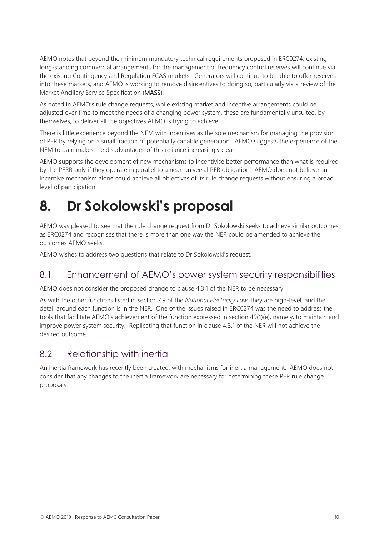AEMO notes that beyond the minimum mandatory technical requirements proposed in ERC0274, existing long-standing commercial arrangements for the management of frequency control reserves will continue via the existing Contingency and Regulation FCAS markets. Generators will continue to be able to offer reserves into these markets, and AEMO is working to remove disincentives to doing so, particularly via a review of the Market Ancillary Service Specification (MASS).

As noted in AEMO's rule change requests, while existing market and incentive arrangements could be adjusted over time to meet the needs of a changing power system, these are fundamentally unsuited, by themselves, to deliver all the objectives AEMO is trying to achieve.

There is little experience beyond the NEM with incentives as the sole mechanism for managing the provision of PFR by relying on a small fraction of potentially capable generation. AEMO suggests the experience of the NEM to date makes the disadvantages of this reliance increasingly clear.

AEMO supports the development of new mechanisms to incentivise better performance than what is required by the PFRR only if they operate in parallel to a near-universal PFR obligation. AEMO does not believe an incentive mechanism alone could achieve all objectives of its rule change requests without ensuring a broad level of participation.

# <span id="page-11-0"></span>**8. Dr Sokolowski's proposal**

AEMO was pleased to see that the rule change request from Dr Sokolowski seeks to achieve similar outcomes as ERC0274 and recognises that there is more than one way the NER could be amended to achieve the outcomes AEMO seeks.

AEMO wishes to address two questions that relate to Dr Sokolowski's request.

#### <span id="page-11-1"></span>8.1 Enhancement of AEMO's power system security responsibilities

AEMO does not consider the proposed change to clause 4.3.1 of the NER to be necessary.

As with the other functions listed in section 49 of the *National Electricity Law*, they are high-level, and the detail around each function is in the NER. One of the issues raised in ERC0274 was the need to address the tools that facilitate AEMO's achievement of the function expressed in section 49(1)(e), namely, to maintain and improve power system security. Replicating that function in clause 4.3.1 of the NER will not achieve the desired outcome.

#### <span id="page-11-2"></span>8.2 Relationship with inertia

An inertia framework has recently been created, with mechanisms for inertia management. AEMO does not consider that any changes to the inertia framework are necessary for determining these PFR rule change proposals.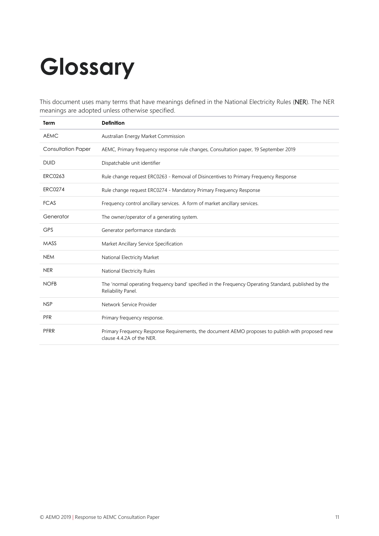# <span id="page-12-0"></span>**Glossary**

This document uses many terms that have meanings defined in the National Electricity Rules (NER). The NER meanings are adopted unless otherwise specified.

| Term                      | <b>Definition</b>                                                                                                             |
|---------------------------|-------------------------------------------------------------------------------------------------------------------------------|
| <b>AEMC</b>               | Australian Energy Market Commission                                                                                           |
| <b>Consultation Paper</b> | AEMC, Primary frequency response rule changes, Consultation paper, 19 September 2019                                          |
| <b>DUID</b>               | Dispatchable unit identifier                                                                                                  |
| <b>ERC0263</b>            | Rule change request ERC0263 - Removal of Disincentives to Primary Frequency Response                                          |
| <b>ERC0274</b>            | Rule change request ERC0274 - Mandatory Primary Frequency Response                                                            |
| <b>FCAS</b>               | Frequency control ancillary services. A form of market ancillary services.                                                    |
| Generator                 | The owner/operator of a generating system.                                                                                    |
| <b>GPS</b>                | Generator performance standards                                                                                               |
| <b>MASS</b>               | Market Ancillary Service Specification                                                                                        |
| <b>NEM</b>                | National Electricity Market                                                                                                   |
| <b>NER</b>                | National Electricity Rules                                                                                                    |
| <b>NOFB</b>               | The 'normal operating frequency band' specified in the Frequency Operating Standard, published by the<br>Reliability Panel.   |
| <b>NSP</b>                | Network Service Provider                                                                                                      |
| <b>PFR</b>                | Primary frequency response.                                                                                                   |
| PFRR                      | Primary Frequency Response Requirements, the document AEMO proposes to publish with proposed new<br>clause 4.4.2A of the NER. |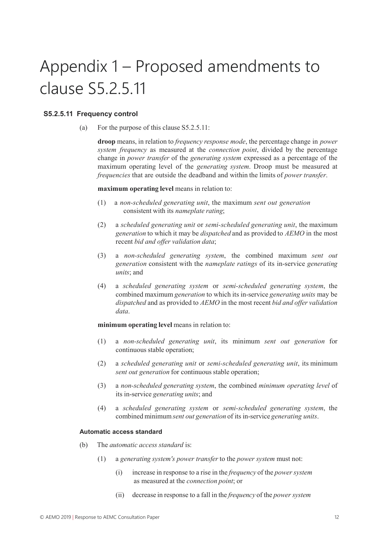# Appendix 1 – Proposed amendments to clause S5.2.5.11

#### **S5.2.5.11 Frequency control**

(a) For the purpose of this clause S5.2.5.11:

**droop** means, in relation to *frequency response mode*, the percentage change in *power system frequency* as measured at the *connection point*, divided by the percentage change in *power transfer* of the *generating system* expressed as a percentage of the maximum operating level of the *generating system*. Droop must be measured at *frequencies* that are outside the deadband and within the limits of *power transfer*.

#### **maximum operating level** means in relation to:

- (1) a *non-scheduled generating unit*, the maximum *sent out generation* consistent with its *nameplate rating*;
- (2) a *scheduled generating unit* or *semi-scheduled generating unit*, the maximum *generation* to which it may be *dispatched* and as provided to *AEMO* in the most recent *bid and offer validation data*;
- (3) a *non-scheduled generating system*, the combined maximum *sent out generation* consistent with the *nameplate ratings* of its in-service *generating units*; and
- (4) a *scheduled generating system* or *semi-scheduled generating system*, the combined maximum *generation* to which its in-service *generating units* may be *dispatched* and as provided to *AEMO* in the most recent *bid and offer validation data*.

#### **minimum operating level** means in relation to:

- (1) a *non-scheduled generating unit*, its minimum *sent out generation* for continuous stable operation;
- (2) a *scheduled generating unit* or *semi-scheduled generating unit*, its minimum *sent out generation* for continuous stable operation;
- (3) a *non-scheduled generating system*, the combined *minimum operating level* of its in-service *generating units*; and
- (4) a *scheduled generating system* or *semi-scheduled generating system*, the combined minimum*sent out generation* of its in-service *generating units*.

#### **Automatic access standard**

- (b) The *automatic access standard* is:
	- (1) a *generating system's power transfer* to the *power system* must not:
		- (i) increase in response to a rise in the *frequency* of the *power system* as measured at the *connection point*; or
		- (ii) decrease in response to a fall in the *frequency* of the *power system*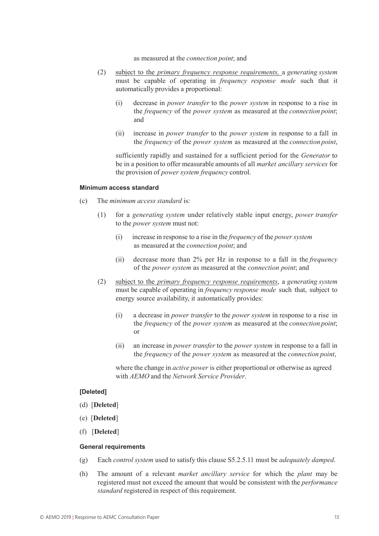as measured at the *connection point*; and

- (2) subject to the *primary frequency response requirements,* a *generating system* must be capable of operating in *frequency response mode* such that it automatically provides a proportional:
	- (i) decrease in *power transfer* to the *power system* in response to a rise in the *frequency* of the *power system* as measured at the *connection point*; and
	- (ii) increase in *power transfer* to the *power system* in response to a fall in the *frequency* of the *power system* as measured at the *connection point*,

sufficiently rapidly and sustained for a sufficient period for the *Generator* to be in a position to offer measurable amounts of all *market ancillary services* for the provision of *power system frequency* control.

#### **Minimum access standard**

- (c) The *minimum access standard* is:
	- (1) for a *generating system* under relatively stable input energy, *power transfer* to the *power system* must not:
		- (i) increase in response to a rise in the *frequency* of the *power system* as measured at the *connection point*; and
		- (ii) decrease more than 2% per Hz in response to a fall in the *frequency*  of the *power system* as measured at the *connection point*; and
	- (2) subject to the *primary frequency response requirements*, a *generating system* must be capable of operating in *frequency response mode* such that, subject to energy source availability, it automatically provides:
		- (i) a decrease in *power transfer* to the *power system* in response to a rise in the *frequency* of the *power system* as measured at the *connection point*; or
		- (ii) an increase in *power transfer* to the *power system* in response to a fall in the *frequency* of the *power system* as measured at the *connection point*,

where the change in *active power* is either proportional or otherwise as agreed with *AEMO* and the *Network Service Provider*.

#### **[Deleted]**

- (d) [**Deleted**]
- (e) [**Deleted**]
- (f) [**Deleted**]

#### **General requirements**

- (g) Each *control system* used to satisfy this clause S5.2.5.11 must be *adequately damped*.
- (h) The amount of a relevant *market ancillary service* for which the *plant* may be registered must not exceed the amount that would be consistent with the *performance standard* registered in respect of this requirement.